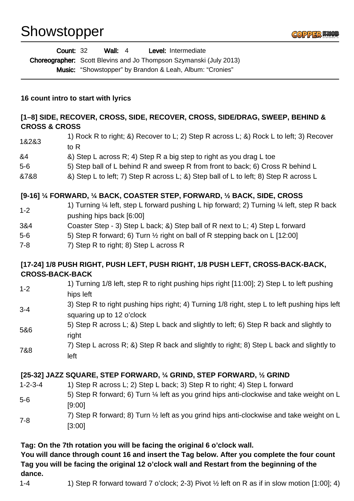## Showstopper



| <b>Wall:</b> 4<br>Level: Intermediate<br><b>Count: 32</b>                                                                                                               |                                                                                                                            |
|-------------------------------------------------------------------------------------------------------------------------------------------------------------------------|----------------------------------------------------------------------------------------------------------------------------|
| <b>Choreographer:</b> Scott Blevins and Jo Thompson Szymanski (July 2013)                                                                                               |                                                                                                                            |
|                                                                                                                                                                         | Music: "Showstopper" by Brandon & Leah, Album: "Cronies"                                                                   |
| 16 count intro to start with lyrics                                                                                                                                     |                                                                                                                            |
| [1-8] SIDE, RECOVER, CROSS, SIDE, RECOVER, CROSS, SIDE/DRAG, SWEEP, BEHIND &<br><b>CROSS &amp; CROSS</b>                                                                |                                                                                                                            |
| 1&2&3                                                                                                                                                                   | 1) Rock R to right; &) Recover to L; 2) Step R across L; &) Rock L to left; 3) Recover<br>to R                             |
| &4                                                                                                                                                                      | &) Step L across R; 4) Step R a big step to right as you drag L toe                                                        |
| $5-6$                                                                                                                                                                   | 5) Step ball of L behind R and sweep R from front to back; 6) Cross R behind L                                             |
| &7&8                                                                                                                                                                    | &) Step L to left; 7) Step R across L; &) Step ball of L to left; 8) Step R across L                                       |
| [9-16] 1/4 FORWARD, 1/4 BACK, COASTER STEP, FORWARD, 1/2 BACK, SIDE, CROSS                                                                                              |                                                                                                                            |
| $1 - 2$                                                                                                                                                                 | 1) Turning 1/4 left, step L forward pushing L hip forward; 2) Turning 1/4 left, step R back<br>pushing hips back [6:00]    |
| 3&4                                                                                                                                                                     | Coaster Step - 3) Step L back; &) Step ball of R next to L; 4) Step L forward                                              |
| $5-6$                                                                                                                                                                   | 5) Step R forward; 6) Turn 1/2 right on ball of R stepping back on L [12:00]                                               |
| $7 - 8$                                                                                                                                                                 | 7) Step R to right; 8) Step L across R                                                                                     |
| [17-24] 1/8 PUSH RIGHT, PUSH LEFT, PUSH RIGHT, 1/8 PUSH LEFT, CROSS-BACK-BACK,<br><b>CROSS-BACK-BACK</b>                                                                |                                                                                                                            |
| $1 - 2$                                                                                                                                                                 | 1) Turning 1/8 left, step R to right pushing hips right [11:00]; 2) Step L to left pushing<br>hips left                    |
| $3 - 4$                                                                                                                                                                 | 3) Step R to right pushing hips right; 4) Turning 1/8 right, step L to left pushing hips left<br>squaring up to 12 o'clock |
| 5&6                                                                                                                                                                     | 5) Step R across L; &) Step L back and slightly to left; 6) Step R back and slightly to<br>right                           |
| 7&8                                                                                                                                                                     | 7) Step L across R; &) Step R back and slightly to right; 8) Step L back and slightly to<br>left                           |
| [25-32] JAZZ SQUARE, STEP FORWARD, 1/4 GRIND, STEP FORWARD, 1/2 GRIND                                                                                                   |                                                                                                                            |
| $1 - 2 - 3 - 4$                                                                                                                                                         | 1) Step R across L; 2) Step L back; 3) Step R to right; 4) Step L forward                                                  |
| $5-6$                                                                                                                                                                   | 5) Step R forward; 6) Turn 1/4 left as you grind hips anti-clockwise and take weight on L<br>[9:00]                        |
| $7 - 8$                                                                                                                                                                 | 7) Step R forward; 8) Turn 1/2 left as you grind hips anti-clockwise and take weight on L<br>[3:00]                        |
| Tag: On the 7th rotation you will be facing the original 6 o'clock wall.<br>You will dance through count 16 and insert the Tag below. After you complete the four count |                                                                                                                            |

**Tag you will be facing the original 12 o'clock wall and Restart from the beginning of the dance.**

1-4 10 1) Step R forward toward 7 o'clock; 2-3) Pivot  $\frac{1}{2}$  left on R as if in slow motion [1:00]; 4)